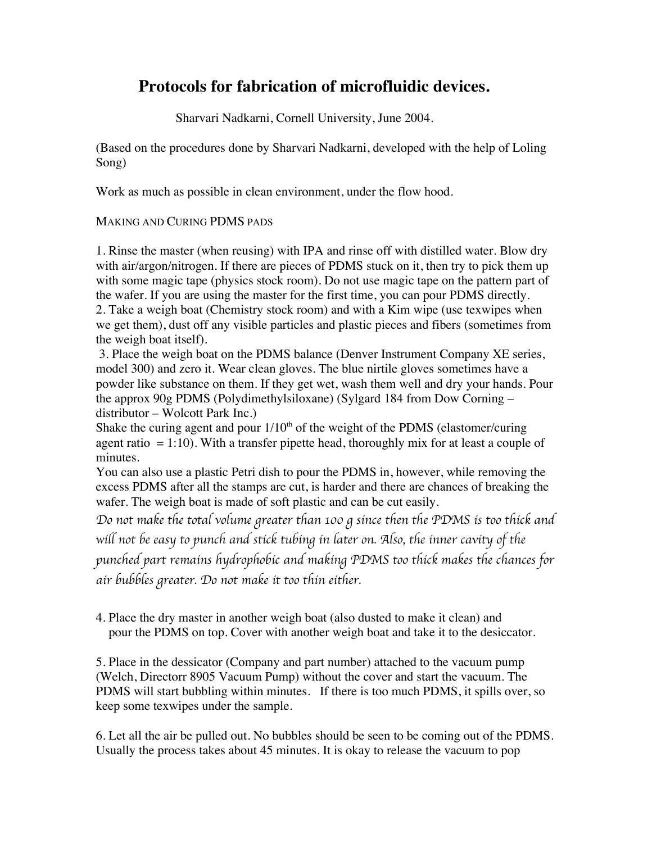# **Protocols for fabrication of microfluidic devices.**

Sharvari Nadkarni, Cornell University, June 2004.

(Based on the procedures done by Sharvari Nadkarni, developed with the help of Loling Song)

Work as much as possible in clean environment, under the flow hood.

#### MAKING AND CURING PDMS PADS

1. Rinse the master (when reusing) with IPA and rinse off with distilled water. Blow dry with air/argon/nitrogen. If there are pieces of PDMS stuck on it, then try to pick them up with some magic tape (physics stock room). Do not use magic tape on the pattern part of the wafer. If you are using the master for the first time, you can pour PDMS directly. 2. Take a weigh boat (Chemistry stock room) and with a Kim wipe (use texwipes when we get them), dust off any visible particles and plastic pieces and fibers (sometimes from the weigh boat itself).

 3. Place the weigh boat on the PDMS balance (Denver Instrument Company XE series, model 300) and zero it. Wear clean gloves. The blue nirtile gloves sometimes have a powder like substance on them. If they get wet, wash them well and dry your hands. Pour the approx 90g PDMS (Polydimethylsiloxane) (Sylgard 184 from Dow Corning – distributor – Wolcott Park Inc.)

Shake the curing agent and pour  $1/10<sup>th</sup>$  of the weight of the PDMS (elastomer/curing agent ratio  $= 1:10$ ). With a transfer pipette head, thoroughly mix for at least a couple of minutes.

You can also use a plastic Petri dish to pour the PDMS in, however, while removing the excess PDMS after all the stamps are cut, is harder and there are chances of breaking the wafer. The weigh boat is made of soft plastic and can be cut easily.

*Do not make the total volume greater than 100 g since then the PDMS is too thick and* 

*will not be easy to punch and stick tubing in later on. Also, the inner cavity of the* 

*punched part remains hydrophobic and making PDMS too thick makes the chances for air bubbles greater. Do not make it too thin either.* 

4. Place the dry master in another weigh boat (also dusted to make it clean) and pour the PDMS on top. Cover with another weigh boat and take it to the desiccator.

5. Place in the dessicator (Company and part number) attached to the vacuum pump (Welch, Directorr 8905 Vacuum Pump) without the cover and start the vacuum. The PDMS will start bubbling within minutes. If there is too much PDMS, it spills over, so keep some texwipes under the sample.

6. Let all the air be pulled out. No bubbles should be seen to be coming out of the PDMS. Usually the process takes about 45 minutes. It is okay to release the vacuum to pop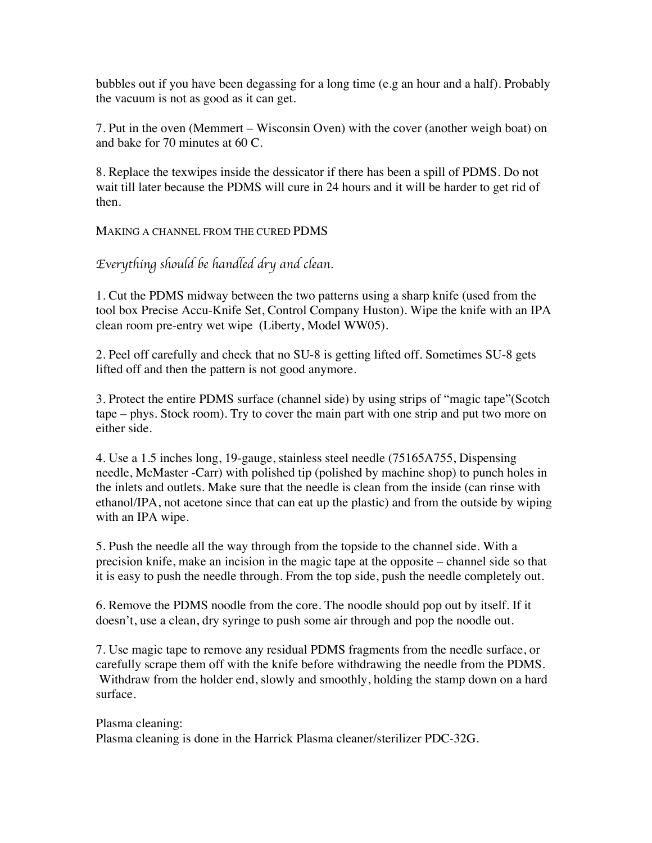bubbles out if you have been degassing for a long time (e.g an hour and a half). Probably the vacuum is not as good as it can get.

7. Put in the oven (Memmert – Wisconsin Oven) with the cover (another weigh boat) on and bake for 70 minutes at 60 C.

8. Replace the texwipes inside the dessicator if there has been a spill of PDMS. Do not wait till later because the PDMS will cure in 24 hours and it will be harder to get rid of then.

MAKING A CHANNEL FROM THE CURED PDMS

*Everything should be handled dry and clean*.

1. Cut the PDMS midway between the two patterns using a sharp knife (used from the tool box Precise Accu-Knife Set, Control Company Huston). Wipe the knife with an IPA clean room pre-entry wet wipe (Liberty, Model WW05).

2. Peel off carefully and check that no SU-8 is getting lifted off. Sometimes SU-8 gets lifted off and then the pattern is not good anymore.

3. Protect the entire PDMS surface (channel side) by using strips of "magic tape"(Scotch tape – phys. Stock room). Try to cover the main part with one strip and put two more on either side.

4. Use a 1.5 inches long, 19-gauge, stainless steel needle (75165A755, Dispensing needle, McMaster -Carr) with polished tip (polished by machine shop) to punch holes in the inlets and outlets. Make sure that the needle is clean from the inside (can rinse with ethanol/IPA, not acetone since that can eat up the plastic) and from the outside by wiping with an IPA wipe.

5. Push the needle all the way through from the topside to the channel side. With a precision knife, make an incision in the magic tape at the opposite – channel side so that it is easy to push the needle through. From the top side, push the needle completely out.

6. Remove the PDMS noodle from the core. The noodle should pop out by itself. If it doesn't, use a clean, dry syringe to push some air through and pop the noodle out.

7. Use magic tape to remove any residual PDMS fragments from the needle surface, or carefully scrape them off with the knife before withdrawing the needle from the PDMS. Withdraw from the holder end, slowly and smoothly, holding the stamp down on a hard surface.

Plasma cleaning: Plasma cleaning is done in the Harrick Plasma cleaner/sterilizer PDC-32G.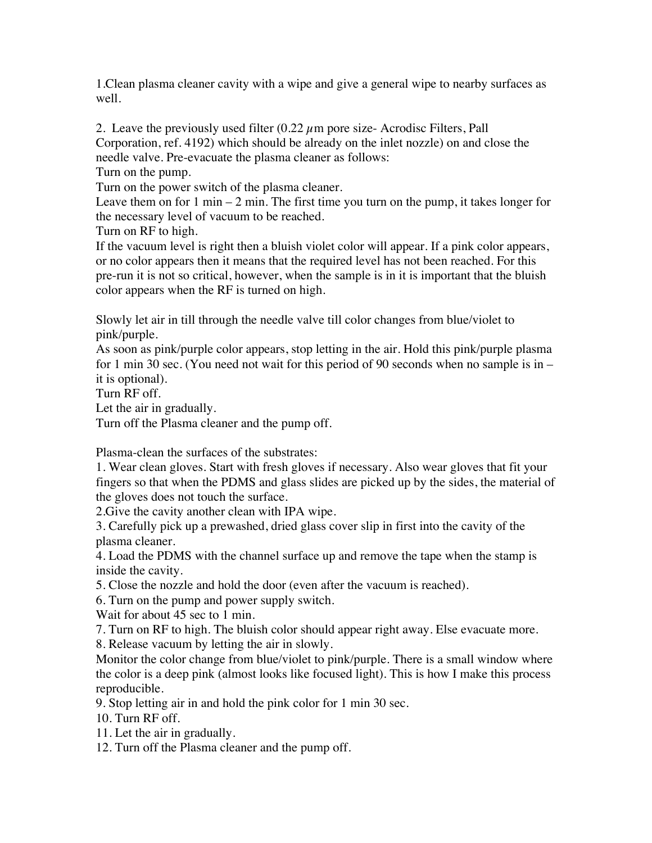1.Clean plasma cleaner cavity with a wipe and give a general wipe to nearby surfaces as well.

2. Leave the previously used filter  $(0.22 \mu m)$  pore size-Acrodisc Filters, Pall Corporation, ref. 4192) which should be already on the inlet nozzle) on and close the needle valve. Pre-evacuate the plasma cleaner as follows:

Turn on the pump.

Turn on the power switch of the plasma cleaner.

Leave them on for  $1 \text{ min} - 2 \text{ min}$ . The first time you turn on the pump, it takes longer for the necessary level of vacuum to be reached.

Turn on RF to high.

If the vacuum level is right then a bluish violet color will appear. If a pink color appears, or no color appears then it means that the required level has not been reached. For this pre-run it is not so critical, however, when the sample is in it is important that the bluish color appears when the RF is turned on high.

Slowly let air in till through the needle valve till color changes from blue/violet to pink/purple.

As soon as pink/purple color appears, stop letting in the air. Hold this pink/purple plasma for 1 min 30 sec. (You need not wait for this period of 90 seconds when no sample is in – it is optional).

Turn RF off.

Let the air in gradually.

Turn off the Plasma cleaner and the pump off.

Plasma-clean the surfaces of the substrates:

1. Wear clean gloves. Start with fresh gloves if necessary. Also wear gloves that fit your fingers so that when the PDMS and glass slides are picked up by the sides, the material of the gloves does not touch the surface.

2.Give the cavity another clean with IPA wipe.

3. Carefully pick up a prewashed, dried glass cover slip in first into the cavity of the plasma cleaner.

4. Load the PDMS with the channel surface up and remove the tape when the stamp is inside the cavity.

5. Close the nozzle and hold the door (even after the vacuum is reached).

6. Turn on the pump and power supply switch.

Wait for about 45 sec to 1 min.

7. Turn on RF to high. The bluish color should appear right away. Else evacuate more.

8. Release vacuum by letting the air in slowly.

Monitor the color change from blue/violet to pink/purple. There is a small window where the color is a deep pink (almost looks like focused light). This is how I make this process reproducible.

9. Stop letting air in and hold the pink color for 1 min 30 sec.

10. Turn RF off.

11. Let the air in gradually.

12. Turn off the Plasma cleaner and the pump off.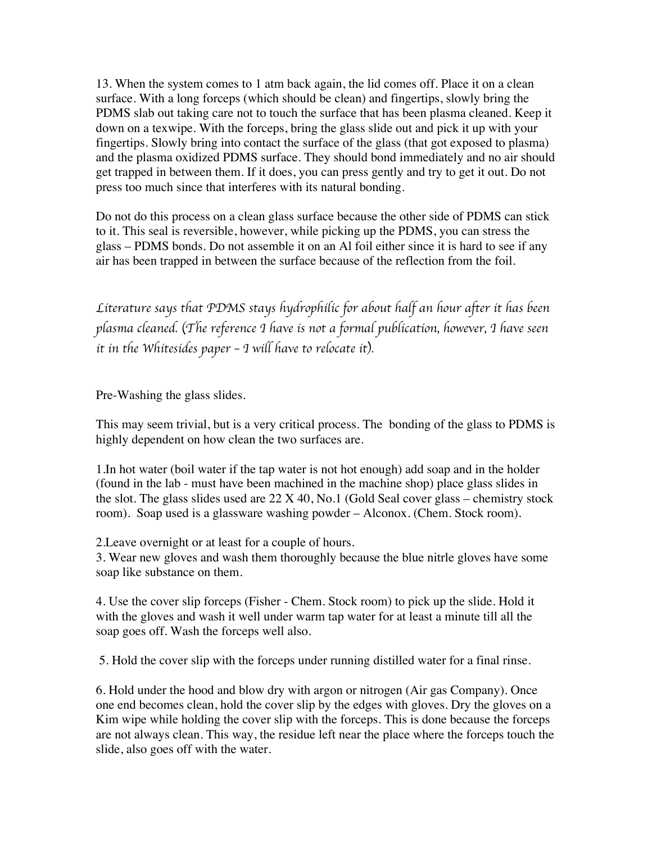13. When the system comes to 1 atm back again, the lid comes off. Place it on a clean surface. With a long forceps (which should be clean) and fingertips, slowly bring the PDMS slab out taking care not to touch the surface that has been plasma cleaned. Keep it down on a texwipe. With the forceps, bring the glass slide out and pick it up with your fingertips. Slowly bring into contact the surface of the glass (that got exposed to plasma) and the plasma oxidized PDMS surface. They should bond immediately and no air should get trapped in between them. If it does, you can press gently and try to get it out. Do not press too much since that interferes with its natural bonding.

Do not do this process on a clean glass surface because the other side of PDMS can stick to it. This seal is reversible, however, while picking up the PDMS, you can stress the glass – PDMS bonds. Do not assemble it on an Al foil either since it is hard to see if any air has been trapped in between the surface because of the reflection from the foil.

*Literature says that PDMS stays hydrophilic for about half an hour after it has been plasma cleaned.* (*The reference I have is not a formal publication, however, I have seen it in the Whitesides paper* – *I will have to relocate it*)*.* 

Pre-Washing the glass slides.

This may seem trivial, but is a very critical process. The bonding of the glass to PDMS is highly dependent on how clean the two surfaces are.

1.In hot water (boil water if the tap water is not hot enough) add soap and in the holder (found in the lab - must have been machined in the machine shop) place glass slides in the slot. The glass slides used are  $22 \text{ X } 40$ , No.1 (Gold Seal cover glass – chemistry stock room). Soap used is a glassware washing powder – Alconox. (Chem. Stock room).

2.Leave overnight or at least for a couple of hours.

3. Wear new gloves and wash them thoroughly because the blue nitrle gloves have some soap like substance on them.

4. Use the cover slip forceps (Fisher - Chem. Stock room) to pick up the slide. Hold it with the gloves and wash it well under warm tap water for at least a minute till all the soap goes off. Wash the forceps well also.

5. Hold the cover slip with the forceps under running distilled water for a final rinse.

6. Hold under the hood and blow dry with argon or nitrogen (Air gas Company). Once one end becomes clean, hold the cover slip by the edges with gloves. Dry the gloves on a Kim wipe while holding the cover slip with the forceps. This is done because the forceps are not always clean. This way, the residue left near the place where the forceps touch the slide, also goes off with the water.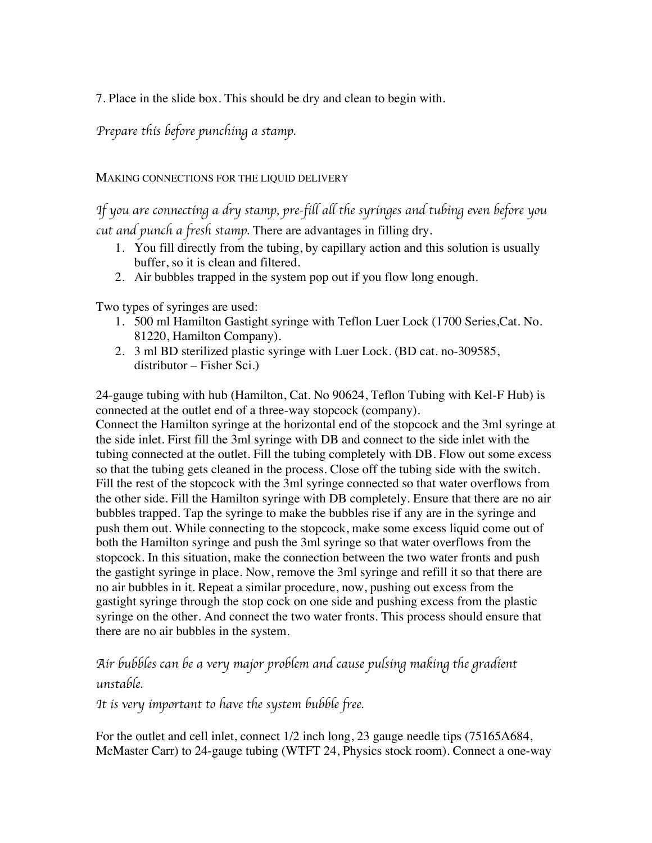7. Place in the slide box. This should be dry and clean to begin with.

*Prepare this before punching a stamp.* 

### MAKING CONNECTIONS FOR THE LIQUID DELIVERY

*If you are connecting a dry stamp, pre-fill all the syringes and tubing even before you cut and punch a fresh stamp.* There are advantages in filling dry.

- 1. You fill directly from the tubing, by capillary action and this solution is usually buffer, so it is clean and filtered.
- 2. Air bubbles trapped in the system pop out if you flow long enough.

Two types of syringes are used:

- 1. 500 ml Hamilton Gastight syringe with Teflon Luer Lock (1700 Series,Cat. No. 81220, Hamilton Company).
- 2. 3 ml BD sterilized plastic syringe with Luer Lock. (BD cat. no-309585, distributor – Fisher Sci.)

24-gauge tubing with hub (Hamilton, Cat. No 90624, Teflon Tubing with Kel-F Hub) is connected at the outlet end of a three-way stopcock (company).

Connect the Hamilton syringe at the horizontal end of the stopcock and the 3ml syringe at the side inlet. First fill the 3ml syringe with DB and connect to the side inlet with the tubing connected at the outlet. Fill the tubing completely with DB. Flow out some excess so that the tubing gets cleaned in the process. Close off the tubing side with the switch. Fill the rest of the stopcock with the 3ml syringe connected so that water overflows from the other side. Fill the Hamilton syringe with DB completely. Ensure that there are no air bubbles trapped. Tap the syringe to make the bubbles rise if any are in the syringe and push them out. While connecting to the stopcock, make some excess liquid come out of both the Hamilton syringe and push the 3ml syringe so that water overflows from the stopcock. In this situation, make the connection between the two water fronts and push the gastight syringe in place. Now, remove the 3ml syringe and refill it so that there are no air bubbles in it. Repeat a similar procedure, now, pushing out excess from the gastight syringe through the stop cock on one side and pushing excess from the plastic syringe on the other. And connect the two water fronts. This process should ensure that there are no air bubbles in the system.

# *Air bubbles can be a very major problem and cause pulsing making the gradient unstable.*

*It is very important to have the system bubble free.* 

For the outlet and cell inlet, connect 1/2 inch long, 23 gauge needle tips (75165A684, McMaster Carr) to 24-gauge tubing (WTFT 24, Physics stock room). Connect a one-way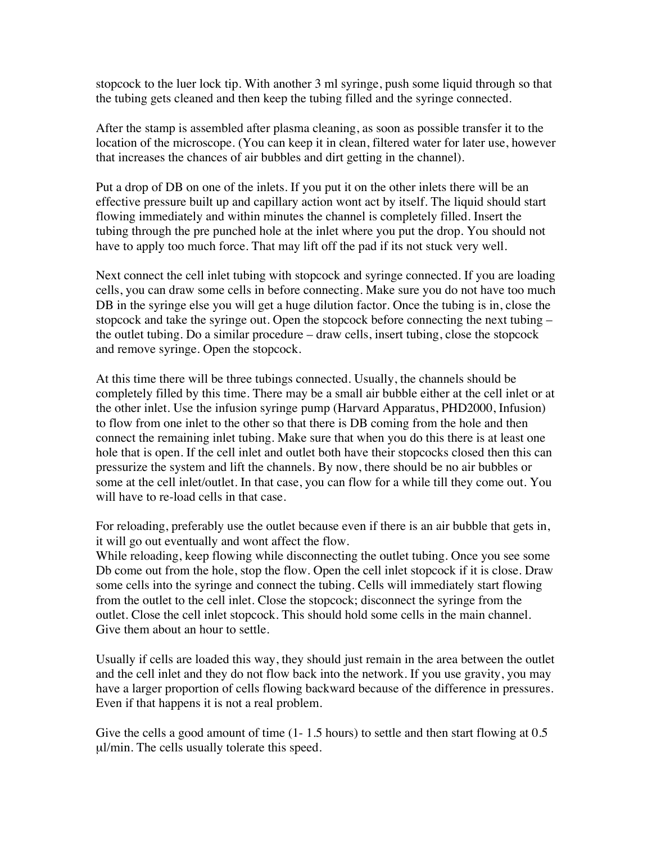stopcock to the luer lock tip. With another 3 ml syringe, push some liquid through so that the tubing gets cleaned and then keep the tubing filled and the syringe connected.

After the stamp is assembled after plasma cleaning, as soon as possible transfer it to the location of the microscope. (You can keep it in clean, filtered water for later use, however that increases the chances of air bubbles and dirt getting in the channel).

Put a drop of DB on one of the inlets. If you put it on the other inlets there will be an effective pressure built up and capillary action wont act by itself. The liquid should start flowing immediately and within minutes the channel is completely filled. Insert the tubing through the pre punched hole at the inlet where you put the drop. You should not have to apply too much force. That may lift off the pad if its not stuck very well.

Next connect the cell inlet tubing with stopcock and syringe connected. If you are loading cells, you can draw some cells in before connecting. Make sure you do not have too much DB in the syringe else you will get a huge dilution factor. Once the tubing is in, close the stopcock and take the syringe out. Open the stopcock before connecting the next tubing – the outlet tubing. Do a similar procedure – draw cells, insert tubing, close the stopcock and remove syringe. Open the stopcock.

At this time there will be three tubings connected. Usually, the channels should be completely filled by this time. There may be a small air bubble either at the cell inlet or at the other inlet. Use the infusion syringe pump (Harvard Apparatus, PHD2000, Infusion) to flow from one inlet to the other so that there is DB coming from the hole and then connect the remaining inlet tubing. Make sure that when you do this there is at least one hole that is open. If the cell inlet and outlet both have their stopcocks closed then this can pressurize the system and lift the channels. By now, there should be no air bubbles or some at the cell inlet/outlet. In that case, you can flow for a while till they come out. You will have to re-load cells in that case.

For reloading, preferably use the outlet because even if there is an air bubble that gets in, it will go out eventually and wont affect the flow.

While reloading, keep flowing while disconnecting the outlet tubing. Once you see some Db come out from the hole, stop the flow. Open the cell inlet stopcock if it is close. Draw some cells into the syringe and connect the tubing. Cells will immediately start flowing from the outlet to the cell inlet. Close the stopcock; disconnect the syringe from the outlet. Close the cell inlet stopcock. This should hold some cells in the main channel. Give them about an hour to settle.

Usually if cells are loaded this way, they should just remain in the area between the outlet and the cell inlet and they do not flow back into the network. If you use gravity, you may have a larger proportion of cells flowing backward because of the difference in pressures. Even if that happens it is not a real problem.

Give the cells a good amount of time  $(1 - 1.5)$  hours) to settle and then start flowing at 0.5 µl/min. The cells usually tolerate this speed.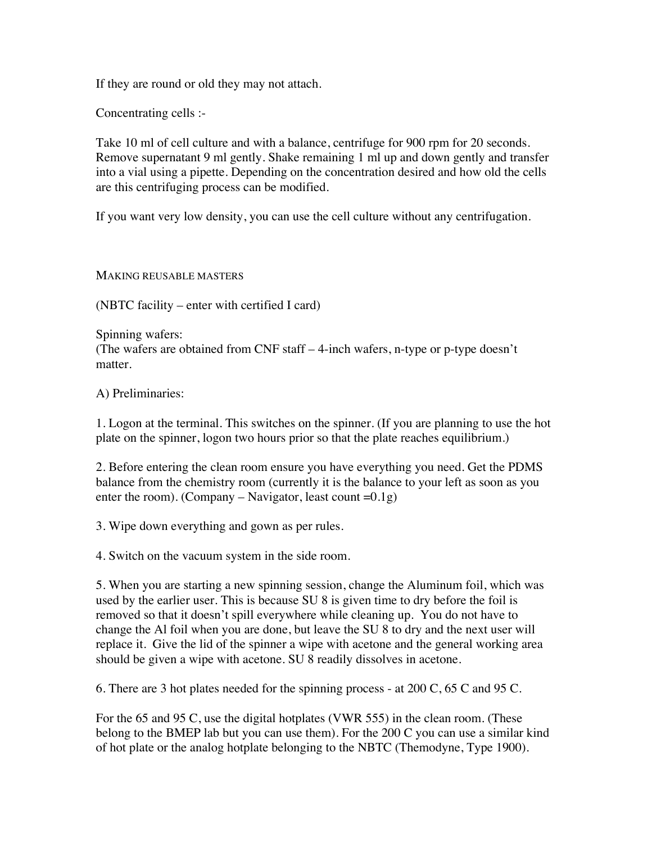If they are round or old they may not attach.

Concentrating cells :-

Take 10 ml of cell culture and with a balance, centrifuge for 900 rpm for 20 seconds. Remove supernatant 9 ml gently. Shake remaining 1 ml up and down gently and transfer into a vial using a pipette. Depending on the concentration desired and how old the cells are this centrifuging process can be modified.

If you want very low density, you can use the cell culture without any centrifugation.

MAKING REUSABLE MASTERS

(NBTC facility – enter with certified I card)

Spinning wafers: (The wafers are obtained from CNF staff – 4-inch wafers, n-type or p-type doesn't matter.

A) Preliminaries:

1. Logon at the terminal. This switches on the spinner. (If you are planning to use the hot plate on the spinner, logon two hours prior so that the plate reaches equilibrium.)

2. Before entering the clean room ensure you have everything you need. Get the PDMS balance from the chemistry room (currently it is the balance to your left as soon as you enter the room). (Company – Navigator, least count  $=0.1g$ )

3. Wipe down everything and gown as per rules.

4. Switch on the vacuum system in the side room.

5. When you are starting a new spinning session, change the Aluminum foil, which was used by the earlier user. This is because SU 8 is given time to dry before the foil is removed so that it doesn't spill everywhere while cleaning up. You do not have to change the Al foil when you are done, but leave the SU 8 to dry and the next user will replace it. Give the lid of the spinner a wipe with acetone and the general working area should be given a wipe with acetone. SU 8 readily dissolves in acetone.

6. There are 3 hot plates needed for the spinning process - at 200 C, 65 C and 95 C.

For the 65 and 95 C, use the digital hotplates (VWR 555) in the clean room. (These belong to the BMEP lab but you can use them). For the 200 C you can use a similar kind of hot plate or the analog hotplate belonging to the NBTC (Themodyne, Type 1900).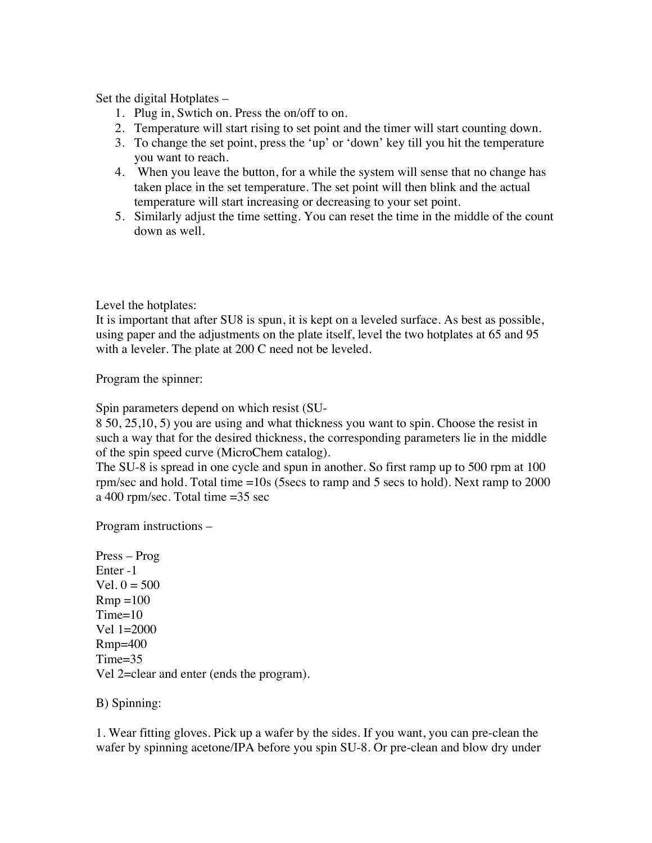Set the digital Hotplates –

- 1. Plug in, Swtich on. Press the on/off to on.
- 2. Temperature will start rising to set point and the timer will start counting down.
- 3. To change the set point, press the 'up' or 'down' key till you hit the temperature you want to reach.
- 4. When you leave the button, for a while the system will sense that no change has taken place in the set temperature. The set point will then blink and the actual temperature will start increasing or decreasing to your set point.
- 5. Similarly adjust the time setting. You can reset the time in the middle of the count down as well.

Level the hotplates:

It is important that after SU8 is spun, it is kept on a leveled surface. As best as possible, using paper and the adjustments on the plate itself, level the two hotplates at 65 and 95 with a leveler. The plate at 200 C need not be leveled.

Program the spinner:

Spin parameters depend on which resist (SU-

8 50, 25,10, 5) you are using and what thickness you want to spin. Choose the resist in such a way that for the desired thickness, the corresponding parameters lie in the middle of the spin speed curve (MicroChem catalog).

The SU-8 is spread in one cycle and spun in another. So first ramp up to 500 rpm at 100 rpm/sec and hold. Total time =10s (5secs to ramp and 5 secs to hold). Next ramp to 2000 a 400 rpm/sec. Total time =35 sec

Program instructions –

Press – Prog Enter -1 Vel.  $0 = 500$  $Rmp = 100$ Time=10 Vel 1=2000 Rmp=400 Time=35 Vel 2=clear and enter (ends the program).

B) Spinning:

1. Wear fitting gloves. Pick up a wafer by the sides. If you want, you can pre-clean the wafer by spinning acetone/IPA before you spin SU-8. Or pre-clean and blow dry under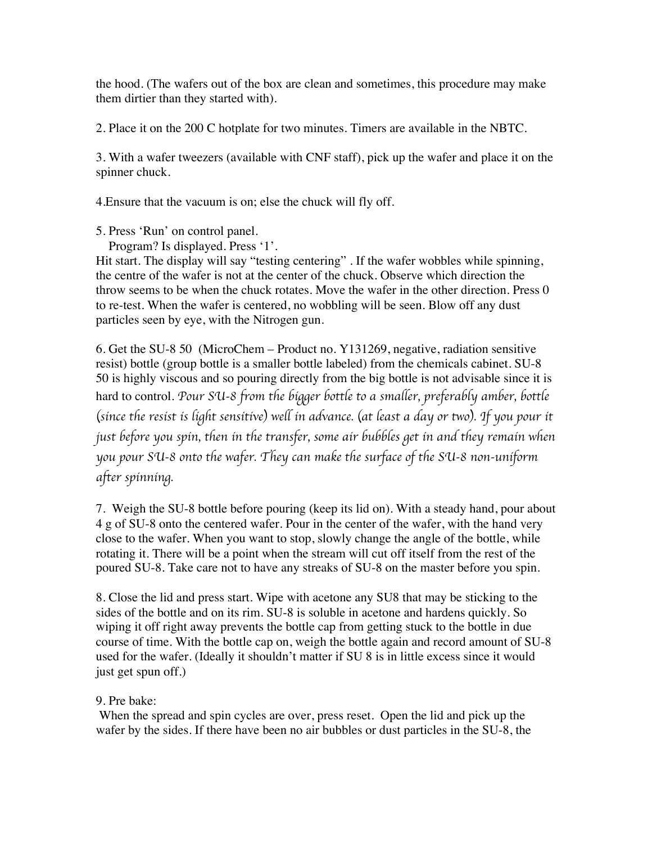the hood. (The wafers out of the box are clean and sometimes, this procedure may make them dirtier than they started with).

2. Place it on the 200 C hotplate for two minutes. Timers are available in the NBTC.

3. With a wafer tweezers (available with CNF staff), pick up the wafer and place it on the spinner chuck.

4.Ensure that the vacuum is on; else the chuck will fly off.

5. Press 'Run' on control panel.

Program? Is displayed. Press '1'.

Hit start. The display will say "testing centering". If the wafer wobbles while spinning, the centre of the wafer is not at the center of the chuck. Observe which direction the throw seems to be when the chuck rotates. Move the wafer in the other direction. Press 0 to re-test. When the wafer is centered, no wobbling will be seen. Blow off any dust particles seen by eye, with the Nitrogen gun.

6. Get the SU-8 50 (MicroChem – Product no. Y131269, negative, radiation sensitive resist) bottle (group bottle is a smaller bottle labeled) from the chemicals cabinet. SU-8 50 is highly viscous and so pouring directly from the big bottle is not advisable since it is hard to control. *Pour SU-8 from the bigger bottle to a smaller, preferably amber, bottle*  (*since the resist is light sensitive*) *well in advance.* (*at least a day or two*)*. If you pour it just before you spin, then in the transfer, some air bubbles get in and they remain when you pour SU-8 onto the wafer. They can make the surface of the SU-8 non-uniform after spinning.* 

7. Weigh the SU-8 bottle before pouring (keep its lid on). With a steady hand, pour about 4 g of SU-8 onto the centered wafer. Pour in the center of the wafer, with the hand very close to the wafer. When you want to stop, slowly change the angle of the bottle, while rotating it. There will be a point when the stream will cut off itself from the rest of the poured SU-8. Take care not to have any streaks of SU-8 on the master before you spin.

8. Close the lid and press start. Wipe with acetone any SU8 that may be sticking to the sides of the bottle and on its rim. SU-8 is soluble in acetone and hardens quickly. So wiping it off right away prevents the bottle cap from getting stuck to the bottle in due course of time. With the bottle cap on, weigh the bottle again and record amount of SU-8 used for the wafer. (Ideally it shouldn't matter if SU 8 is in little excess since it would just get spun off.)

## 9. Pre bake:

 When the spread and spin cycles are over, press reset. Open the lid and pick up the wafer by the sides. If there have been no air bubbles or dust particles in the SU-8, the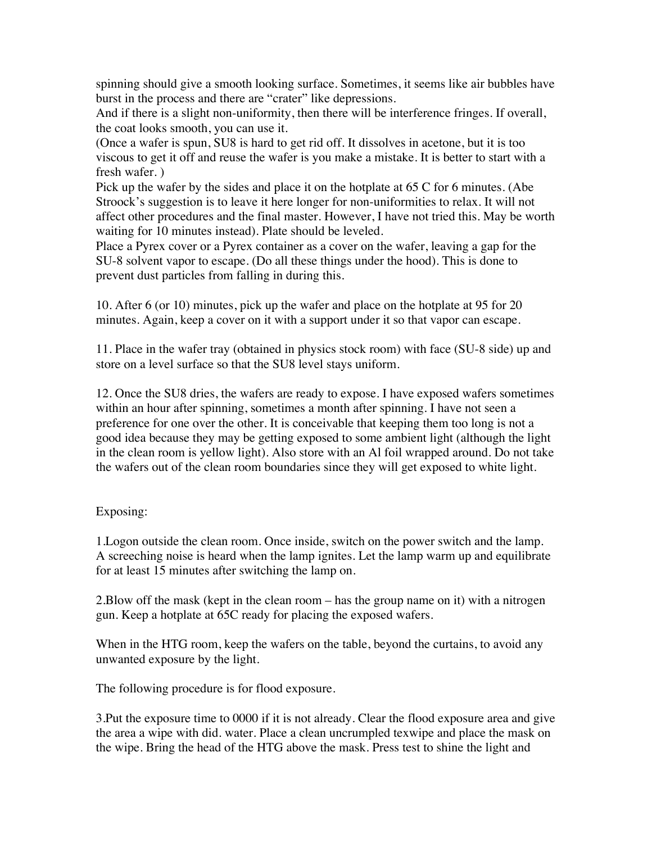spinning should give a smooth looking surface. Sometimes, it seems like air bubbles have burst in the process and there are "crater" like depressions.

And if there is a slight non-uniformity, then there will be interference fringes. If overall, the coat looks smooth, you can use it.

(Once a wafer is spun, SU8 is hard to get rid off. It dissolves in acetone, but it is too viscous to get it off and reuse the wafer is you make a mistake. It is better to start with a fresh wafer. )

Pick up the wafer by the sides and place it on the hotplate at 65 C for 6 minutes. (Abe Stroock's suggestion is to leave it here longer for non-uniformities to relax. It will not affect other procedures and the final master. However, I have not tried this. May be worth waiting for 10 minutes instead). Plate should be leveled.

Place a Pyrex cover or a Pyrex container as a cover on the wafer, leaving a gap for the SU-8 solvent vapor to escape. (Do all these things under the hood). This is done to prevent dust particles from falling in during this.

10. After 6 (or 10) minutes, pick up the wafer and place on the hotplate at 95 for 20 minutes. Again, keep a cover on it with a support under it so that vapor can escape.

11. Place in the wafer tray (obtained in physics stock room) with face (SU-8 side) up and store on a level surface so that the SU8 level stays uniform.

12. Once the SU8 dries, the wafers are ready to expose. I have exposed wafers sometimes within an hour after spinning, sometimes a month after spinning. I have not seen a preference for one over the other. It is conceivable that keeping them too long is not a good idea because they may be getting exposed to some ambient light (although the light in the clean room is yellow light). Also store with an Al foil wrapped around. Do not take the wafers out of the clean room boundaries since they will get exposed to white light.

## Exposing:

1.Logon outside the clean room. Once inside, switch on the power switch and the lamp. A screeching noise is heard when the lamp ignites. Let the lamp warm up and equilibrate for at least 15 minutes after switching the lamp on.

2.Blow off the mask (kept in the clean room – has the group name on it) with a nitrogen gun. Keep a hotplate at 65C ready for placing the exposed wafers.

When in the HTG room, keep the wafers on the table, beyond the curtains, to avoid any unwanted exposure by the light.

The following procedure is for flood exposure.

3.Put the exposure time to 0000 if it is not already. Clear the flood exposure area and give the area a wipe with did. water. Place a clean uncrumpled texwipe and place the mask on the wipe. Bring the head of the HTG above the mask. Press test to shine the light and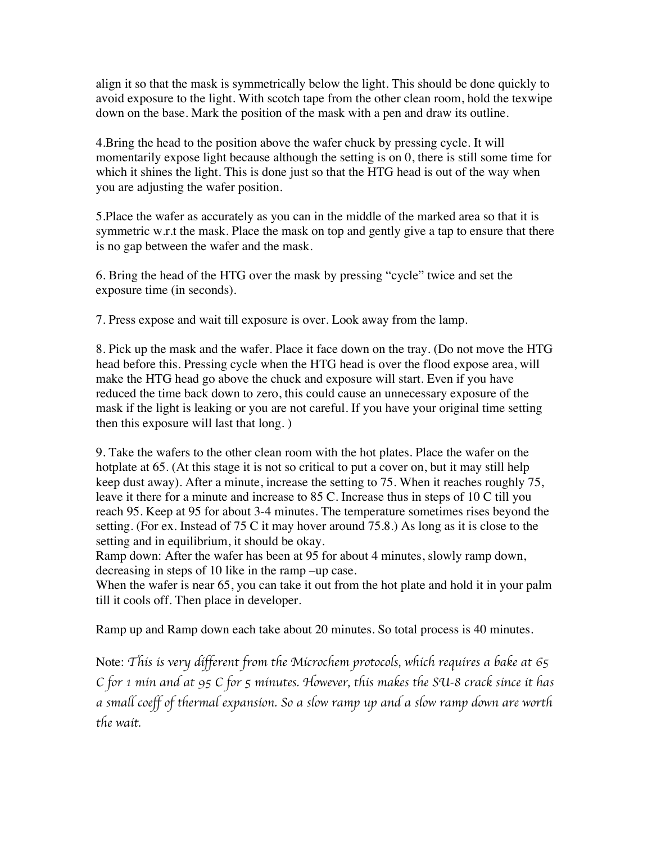align it so that the mask is symmetrically below the light. This should be done quickly to avoid exposure to the light. With scotch tape from the other clean room, hold the texwipe down on the base. Mark the position of the mask with a pen and draw its outline.

4.Bring the head to the position above the wafer chuck by pressing cycle. It will momentarily expose light because although the setting is on 0, there is still some time for which it shines the light. This is done just so that the HTG head is out of the way when you are adjusting the wafer position.

5.Place the wafer as accurately as you can in the middle of the marked area so that it is symmetric w.r.t the mask. Place the mask on top and gently give a tap to ensure that there is no gap between the wafer and the mask.

6. Bring the head of the HTG over the mask by pressing "cycle" twice and set the exposure time (in seconds).

7. Press expose and wait till exposure is over. Look away from the lamp.

8. Pick up the mask and the wafer. Place it face down on the tray. (Do not move the HTG head before this. Pressing cycle when the HTG head is over the flood expose area, will make the HTG head go above the chuck and exposure will start. Even if you have reduced the time back down to zero, this could cause an unnecessary exposure of the mask if the light is leaking or you are not careful. If you have your original time setting then this exposure will last that long. )

9. Take the wafers to the other clean room with the hot plates. Place the wafer on the hotplate at 65. (At this stage it is not so critical to put a cover on, but it may still help keep dust away). After a minute, increase the setting to 75. When it reaches roughly 75, leave it there for a minute and increase to 85 C. Increase thus in steps of 10 C till you reach 95. Keep at 95 for about 3-4 minutes. The temperature sometimes rises beyond the setting. (For ex. Instead of 75 C it may hover around 75.8.) As long as it is close to the setting and in equilibrium, it should be okay.

Ramp down: After the wafer has been at 95 for about 4 minutes, slowly ramp down, decreasing in steps of 10 like in the ramp –up case.

When the wafer is near 65, you can take it out from the hot plate and hold it in your palm till it cools off. Then place in developer.

Ramp up and Ramp down each take about 20 minutes. So total process is 40 minutes.

Note: *This is very different from the Microchem protocols, which requires a bake at 65 C for 1 min and at 95 C for 5 minutes. However, this makes the SU-8 crack since it has a small coeff of thermal expansion. So a slow ramp up and a slow ramp down are worth the wait.*